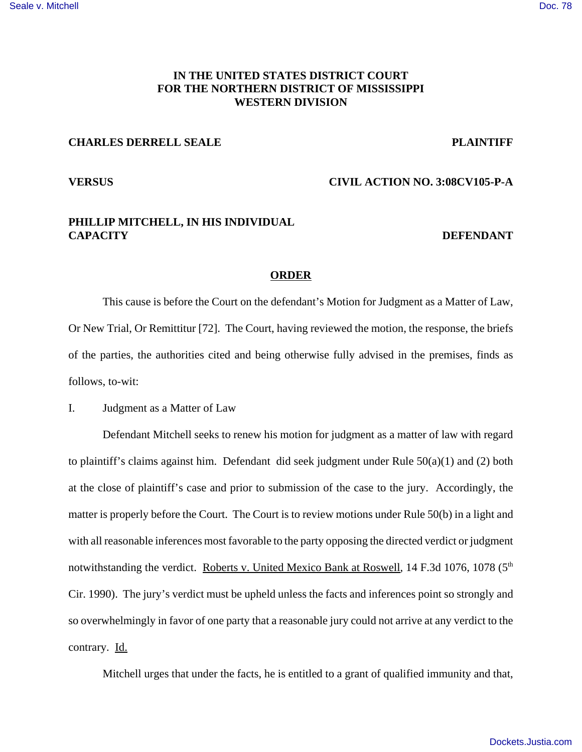# **IN THE UNITED STATES DISTRICT COURT FOR THE NORTHERN DISTRICT OF MISSISSIPPI WESTERN DIVISION**

## **CHARLES DERRELL SEALE** PLAINTIFF

### **VERSUS CIVIL ACTION NO. 3:08CV105-P-A**

# **PHILLIP MITCHELL, IN HIS INDIVIDUAL CAPACITY** DEFENDANT

#### **ORDER**

This cause is before the Court on the defendant's Motion for Judgment as a Matter of Law, Or New Trial, Or Remittitur [72]. The Court, having reviewed the motion, the response, the briefs of the parties, the authorities cited and being otherwise fully advised in the premises, finds as follows, to-wit:

I. Judgment as a Matter of Law

Defendant Mitchell seeks to renew his motion for judgment as a matter of law with regard to plaintiff's claims against him. Defendant did seek judgment under Rule 50(a)(1) and (2) both at the close of plaintiff's case and prior to submission of the case to the jury. Accordingly, the matter is properly before the Court. The Court is to review motions under Rule 50(b) in a light and with all reasonable inferences most favorable to the party opposing the directed verdict or judgment notwithstanding the verdict. Roberts v. United Mexico Bank at Roswell, 14 F.3d 1076, 1078 (5<sup>th</sup>) Cir. 1990). The jury's verdict must be upheld unless the facts and inferences point so strongly and so overwhelmingly in favor of one party that a reasonable jury could not arrive at any verdict to the contrary. Id.

Mitchell urges that under the facts, he is entitled to a grant of qualified immunity and that,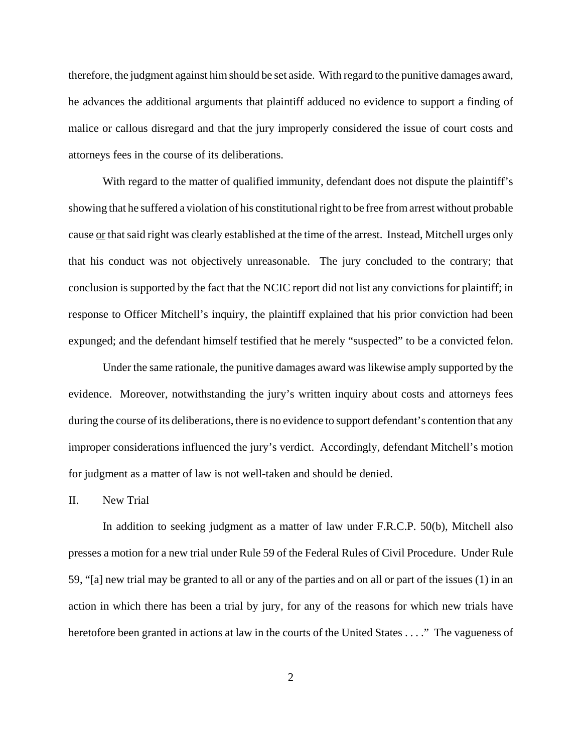therefore, the judgment against him should be set aside. With regard to the punitive damages award, he advances the additional arguments that plaintiff adduced no evidence to support a finding of malice or callous disregard and that the jury improperly considered the issue of court costs and attorneys fees in the course of its deliberations.

With regard to the matter of qualified immunity, defendant does not dispute the plaintiff's showing that he suffered a violation of his constitutional right to be free from arrest without probable cause or that said right was clearly established at the time of the arrest. Instead, Mitchell urges only that his conduct was not objectively unreasonable. The jury concluded to the contrary; that conclusion is supported by the fact that the NCIC report did not list any convictions for plaintiff; in response to Officer Mitchell's inquiry, the plaintiff explained that his prior conviction had been expunged; and the defendant himself testified that he merely "suspected" to be a convicted felon.

Under the same rationale, the punitive damages award was likewise amply supported by the evidence. Moreover, notwithstanding the jury's written inquiry about costs and attorneys fees during the course of its deliberations, there is no evidence to support defendant's contention that any improper considerations influenced the jury's verdict. Accordingly, defendant Mitchell's motion for judgment as a matter of law is not well-taken and should be denied.

### II. New Trial

In addition to seeking judgment as a matter of law under F.R.C.P. 50(b), Mitchell also presses a motion for a new trial under Rule 59 of the Federal Rules of Civil Procedure. Under Rule 59, "[a] new trial may be granted to all or any of the parties and on all or part of the issues (1) in an action in which there has been a trial by jury, for any of the reasons for which new trials have heretofore been granted in actions at law in the courts of the United States . . . ." The vagueness of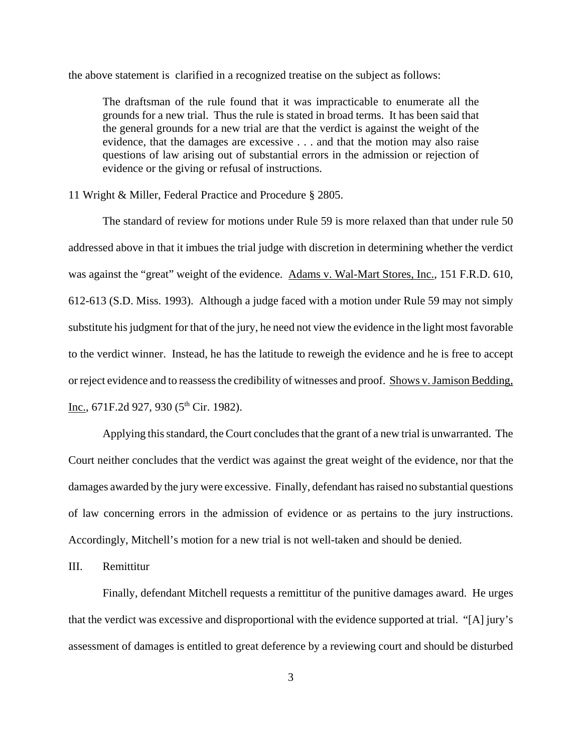the above statement is clarified in a recognized treatise on the subject as follows:

The draftsman of the rule found that it was impracticable to enumerate all the grounds for a new trial. Thus the rule is stated in broad terms. It has been said that the general grounds for a new trial are that the verdict is against the weight of the evidence, that the damages are excessive . . . and that the motion may also raise questions of law arising out of substantial errors in the admission or rejection of evidence or the giving or refusal of instructions.

11 Wright & Miller, Federal Practice and Procedure § 2805.

The standard of review for motions under Rule 59 is more relaxed than that under rule 50 addressed above in that it imbues the trial judge with discretion in determining whether the verdict was against the "great" weight of the evidence. Adams v. Wal-Mart Stores, Inc., 151 F.R.D. 610, 612-613 (S.D. Miss. 1993). Although a judge faced with a motion under Rule 59 may not simply substitute his judgment for that of the jury, he need not view the evidence in the light most favorable to the verdict winner. Instead, he has the latitude to reweigh the evidence and he is free to accept or reject evidence and to reassess the credibility of witnesses and proof. Shows v. Jamison Bedding, Inc., 671F.2d 927, 930 ( $5<sup>th</sup>$  Cir. 1982).

Applying this standard, the Court concludes that the grant of a new trial is unwarranted. The Court neither concludes that the verdict was against the great weight of the evidence, nor that the damages awarded by the jury were excessive. Finally, defendant has raised no substantial questions of law concerning errors in the admission of evidence or as pertains to the jury instructions. Accordingly, Mitchell's motion for a new trial is not well-taken and should be denied.

III. Remittitur

Finally, defendant Mitchell requests a remittitur of the punitive damages award. He urges that the verdict was excessive and disproportional with the evidence supported at trial. "[A] jury's assessment of damages is entitled to great deference by a reviewing court and should be disturbed